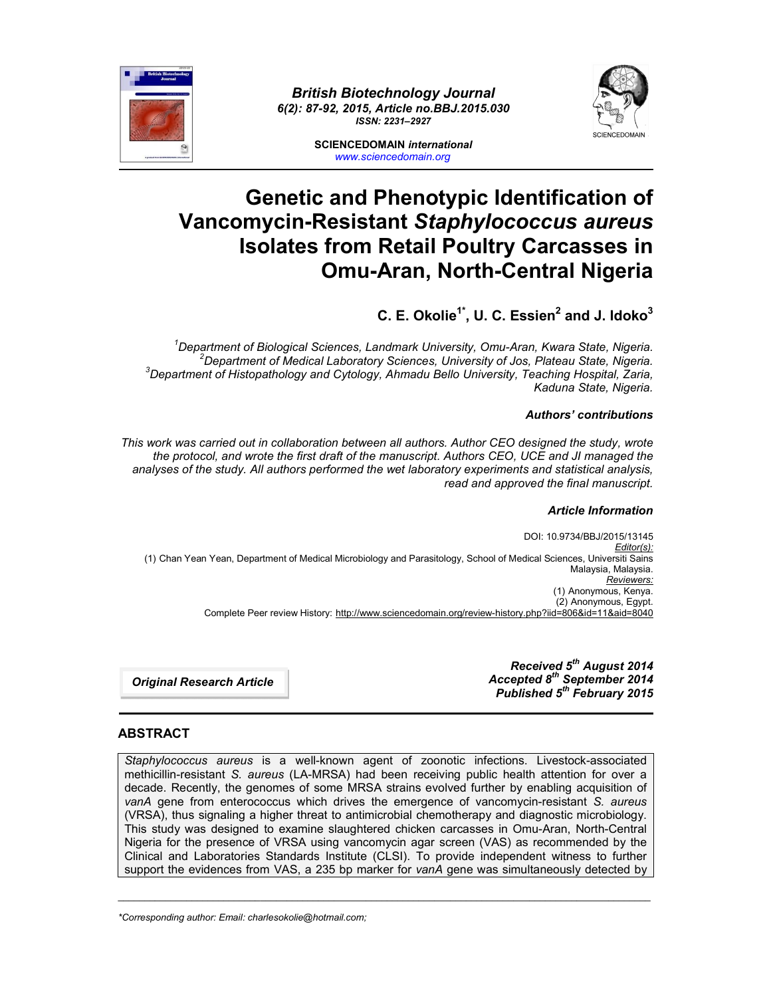



**SCIENCEDOMAIN** *international www.sciencedomain.org*

# **Genetic and Phenotypic Identification of Vancomycin-Resistant** *Staphylococcus aureus* **Isolates from Retail Poultry Carcasses in Omu-Aran, North-Central Nigeria**

## **C. E. Okolie1\*, U. C. Essien2 and J. Idoko3**

*1 Department of Biological Sciences, Landmark University, Omu-Aran, Kwara State, Nigeria. <sup>2</sup> Department of Medical Laboratory Sciences, University of Jos, Plateau State, Nigeria. <sup>3</sup> Department of Histopathology and Cytology, Ahmadu Bello University, Teaching Hospital, Zaria, Kaduna State, Nigeria.*

#### *Authors' contributions*

*This work was carried out in collaboration between all authors. Author CEO designed the study, wrote the protocol, and wrote the first draft of the manuscript. Authors CEO, UCE and JI managed the analyses of the study. All authors performed the wet laboratory experiments and statistical analysis, read and approved the final manuscript.*

#### *Article Information*

DOI: 10.9734/BBJ/2015/13145 *Editor(s):* (1) Chan Yean Yean, Department of Medical Microbiology and Parasitology, School of Medical Sciences, Universiti Sains Malaysia, Malaysia. *Reviewers:* (1) Anonymous, Kenya. (2) Anonymous, Egypt. Complete Peer review History: http://www.sciencedomain.org/review-history.php?iid=806&id=11&aid=8040

*Original Research Article*

*Received 5th August 2014 Accepted 8th September 2014 Published 5th February 2015*

### **ABSTRACT**

*Staphylococcus aureus* is a well-known agent of zoonotic infections. Livestock-associated methicillin-resistant *S. aureus* (LA-MRSA) had been receiving public health attention for over a decade. Recently, the genomes of some MRSA strains evolved further by enabling acquisition of *vanA* gene from enterococcus which drives the emergence of vancomycin-resistant *S. aureus* (VRSA), thus signaling a higher threat to antimicrobial chemotherapy and diagnostic microbiology. This study was designed to examine slaughtered chicken carcasses in Omu-Aran, North-Central Nigeria for the presence of VRSA using vancomycin agar screen (VAS) as recommended by the Clinical and Laboratories Standards Institute (CLSI). To provide independent witness to further support the evidences from VAS, a 235 bp marker for *vanA* gene was simultaneously detected by

\_\_\_\_\_\_\_\_\_\_\_\_\_\_\_\_\_\_\_\_\_\_\_\_\_\_\_\_\_\_\_\_\_\_\_\_\_\_\_\_\_\_\_\_\_\_\_\_\_\_\_\_\_\_\_\_\_\_\_\_\_\_\_\_\_\_\_\_\_\_\_\_\_\_\_\_\_\_\_\_\_\_\_\_\_\_\_\_\_\_\_\_\_\_\_\_\_\_\_\_\_

*\*Corresponding author: Email: charlesokolie@hotmail.com;*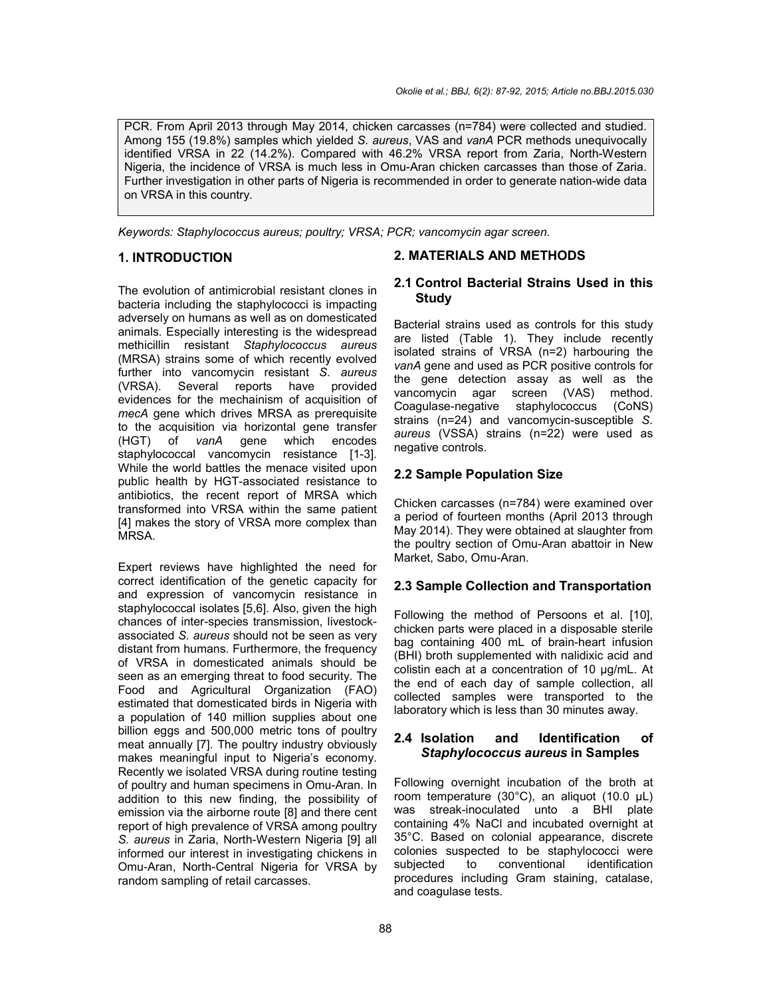PCR. From April 2013 through May 2014, chicken carcasses (n=784) were collected and studied. Among 155 (19.8%) samples which yielded *S. aureus*, VAS and *vanA* PCR methods unequivocally identified VRSA in 22 (14.2%). Compared with 46.2% VRSA report from Zaria, North-Western Nigeria, the incidence of VRSA is much less in Omu-Aran chicken carcasses than those of Zaria. Further investigation in other parts of Nigeria is recommended in order to generate nation-wide data on VRSA in this country.

*Keywords: Staphylococcus aureus; poultry; VRSA; PCR; vancomycin agar screen.*

#### **1. INTRODUCTION**

The evolution of antimicrobial resistant clones in bacteria including the staphylococci is impacting adversely on humans as well as on domesticated animals. Especially interesting is the widespread methicillin resistant *Staphylococcus aureus* (MRSA) strains some of which recently evolved further into vancomycin resistant *S. aureus* (VRSA). Several reports have provided evidences for the mechainism of acquisition of *mecA* gene which drives MRSA as prerequisite to the acquisition via horizontal gene transfer (HGT) of *vanA* gene which encodes staphylococcal vancomycin resistance [1-3]. While the world battles the menace visited upon public health by HGT-associated resistance to antibiotics, the recent report of MRSA which transformed into VRSA within the same patient [4] makes the story of VRSA more complex than MRSA.

Expert reviews have highlighted the need for correct identification of the genetic capacity for and expression of vancomycin resistance in staphylococcal isolates [5,6]. Also, given the high chances of inter-species transmission, livestockassociated *S. aureus* should not be seen as very distant from humans. Furthermore, the frequency of VRSA in domesticated animals should be seen as an emerging threat to food security. The Food and Agricultural Organization (FAO) estimated that domesticated birds in Nigeria with a population of 140 million supplies about one billion eggs and 500,000 metric tons of poultry meat annually [7]. The poultry industry obviously makes meaningful input to Nigeria's economy. Recently we isolated VRSA during routine testing of poultry and human specimens in Omu-Aran. In addition to this new finding, the possibility of emission via the airborne route [8] and there cent report of high prevalence of VRSA among poultry *S. aureus* in Zaria, North-Western Nigeria [9] all informed our interest in investigating chickens in Omu-Aran, North-Central Nigeria for VRSA by random sampling of retail carcasses.

#### **2. MATERIALS AND METHODS**

#### **2.1 Control Bacterial Strains Used in this Study**

Bacterial strains used as controls for this study are listed (Table 1). They include recently isolated strains of VRSA (n=2) harbouring the *vanA* gene and used as PCR positive controls for the gene detection assay as well as the vancomycin agar screen (VAS) method.<br>Coagulase-negative staphylococcus (CoNS) Coagulase-negative staphylococcus strains (n=24) and vancomycin-susceptible *S. aureus* (VSSA) strains (n=22) were used as negative controls.

#### **2.2 Sample Population Size**

Chicken carcasses (n=784) were examined over a period of fourteen months (April 2013 through May 2014). They were obtained at slaughter from the poultry section of Omu-Aran abattoir in New Market, Sabo, Omu-Aran.

#### **2.3 Sample Collection and Transportation**

Following the method of Persoons et al. [10], chicken parts were placed in a disposable sterile bag containing 400 mL of brain-heart infusion (BHI) broth supplemented with nalidixic acid and colistin each at a concentration of 10 μg/mL. At the end of each day of sample collection, all collected samples were transported to the laboratory which is less than 30 minutes away.

#### **2.4 Isolation and Identification of**  *Staphylococcus aureus* **in Samples**

Following overnight incubation of the broth at room temperature (30°C), an aliquot (10.0 μL) was streak-inoculated unto a BHI plate containing 4% NaCl and incubated overnight at 35°C. Based on colonial appearance, discrete colonies suspected to be staphylococci were<br>subiected to conventional identification subjected to conventional identification procedures including Gram staining, catalase, and coagulase tests.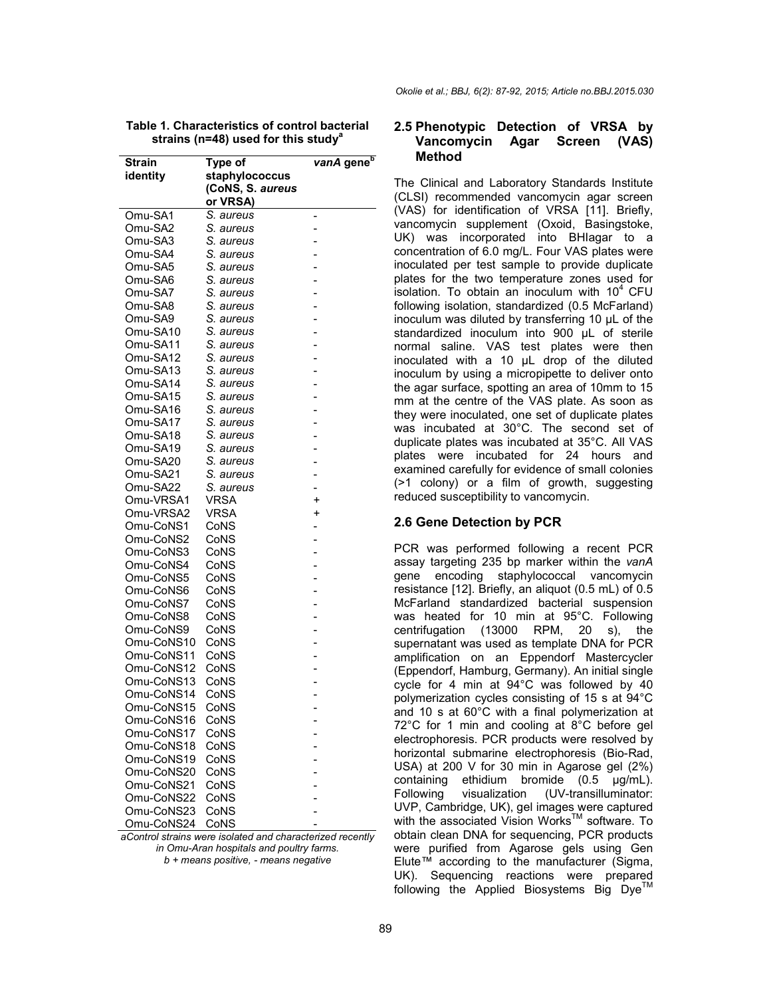| <b>Strain</b>      | Type of                | vanA gene <sup>b</sup> |
|--------------------|------------------------|------------------------|
| identity           | staphylococcus         |                        |
|                    | (CoNS, S. aureus       |                        |
|                    | or VRSA)               |                        |
| Omu-SA1            | S. aureus              |                        |
| Omu-SA2            | S. aureus              |                        |
| Omu-SA3            | S. aureus              |                        |
|                    |                        | -                      |
| Omu-SA4<br>Omu-SA5 | S. aureus<br>S. aureus | -                      |
|                    |                        |                        |
| Omu-SA6<br>Omu-SA7 | S. aureus<br>S. aureus | $\overline{a}$         |
| Omu-SA8            | S. aureus              | -<br>-                 |
| Omu-SA9            | S. aureus              |                        |
| Omu-SA10           | S. aureus              | -                      |
| Omu-SA11           | S. aureus              |                        |
| Omu-SA12           | S. aureus              | -                      |
| Omu-SA13           | S. aureus              | -                      |
| Omu-SA14           | S. aureus              | -                      |
| Omu-SA15           | S. aureus              | -                      |
| Omu-SA16           | S. aureus              |                        |
| Omu-SA17           | S. aureus              | -                      |
| Omu-SA18           | S. aureus              |                        |
| Omu-SA19           | S. aureus              | -                      |
| Omu-SA20           | S. aureus              | -                      |
| Omu-SA21           | S. aureus              | -                      |
| Omu-SA22           | S. aureus              | -                      |
| Omu-VRSA1          | VRSA                   | $\ddot{}$              |
| Omu-VRSA2          | <b>VRSA</b>            | $\ddot{}$              |
| Omu-CoNS1          | CoNS                   | -                      |
| Omu-CoNS2          | CoNS                   | -                      |
| Omu-CoNS3          | CoNS                   | $\overline{a}$         |
| Omu-CoNS4          | CoNS                   | -                      |
| Omu-CoNS5          | CoNS                   | -                      |
| Omu-CoNS6          | CoNS                   |                        |
| Omu-CoNS7          | CoNS                   |                        |
| Omu-CoNS8          | CoNS                   |                        |
| Omu-CoNS9          | CoNS                   | -                      |
| Omu-CoNS10         | CoNS                   | $\overline{a}$         |
| Omu-CoNS11         | CoNS                   | -                      |
| Omu-CoNS12         | CoNS                   |                        |
| Omu-CoNS13         | CoNS                   |                        |
| Omu-CoNS14         | CoNS                   |                        |
| Omu-CoNS15         | CoNS                   |                        |
| Omu-CoNS16         | CoNS                   | -                      |
| Omu-CoNS17         | CoNS                   |                        |
| Omu-CoNS18         | CoNS                   |                        |
| Omu-CoNS19         | CoNS                   |                        |
| Omu-CoNS20         | CoNS                   |                        |
| Omu-CoNS21         | CoNS                   |                        |
| Omu-CoNS22         | CoNS                   |                        |
| Omu-CoNS23         | CoNS                   | -                      |
| Omu-CoNS24         | CoNS                   |                        |

| Table 1. Characteristics of control bacterial |                                                     |  |
|-----------------------------------------------|-----------------------------------------------------|--|
|                                               | strains ( $n=48$ ) used for this study <sup>a</sup> |  |

*aControl strains were isolated and characterized recently in Omu-Aran hospitals and poultry farms. b + means positive, - means negative*

*Okolie et al.; BBJ, 6(2): 87-92, 2015; Article no.BBJ.2015.030*

#### **2.5 Phenotypic Detection of VRSA by Vancomycin Agar Screen (VAS) Method**

The Clinical and Laboratory Standards Institute (CLSI) recommended vancomycin agar screen (VAS) for identification of VRSA [11]. Briefly, vancomycin supplement (Oxoid, Basingstoke, UK) was incorporated into BHIagar to a concentration of 6.0 mg/L. Four VAS plates were inoculated per test sample to provide duplicate plates for the two temperature zones used for isolation. To obtain an inoculum with  $10<sup>4</sup>$  CFU following isolation, standardized (0.5 McFarland) inoculum was diluted by transferring 10 μL of the standardized inoculum into 900 μL of sterile normal saline. VAS test plates were then inoculated with a 10 μL drop of the diluted inoculum by using a micropipette to deliver onto the agar surface, spotting an area of 10mm to 15 mm at the centre of the VAS plate. As soon as they were inoculated, one set of duplicate plates was incubated at 30°C. The second set of duplicate plates was incubated at 35°C. All VAS plates were incubated for 24 hours and examined carefully for evidence of small colonies (>1 colony) or a film of growth, suggesting reduced susceptibility to vancomycin.

#### **2.6 Gene Detection by PCR**

PCR was performed following a recent PCR assay targeting 235 bp marker within the *vanA* gene encoding staphylococcal vancomycin resistance [12]. Briefly, an aliquot (0.5 mL) of 0.5 McFarland standardized bacterial suspension was heated for 10 min at 95°C. Following centrifugation (13000 RPM, 20 s), the supernatant was used as template DNA for PCR amplification on an Eppendorf Mastercycler (Eppendorf, Hamburg, Germany). An initial single cycle for 4 min at 94°C was followed by 40 polymerization cycles consisting of 15 s at 94°C and 10 s at 60°C with a final polymerization at 72°C for 1 min and cooling at 8°C before gel electrophoresis. PCR products were resolved by horizontal submarine electrophoresis (Bio-Rad, USA) at 200 V for 30 min in Agarose gel (2%) containing ethidium bromide (0.5 μg/mL). Following visualization (UV-transilluminator: UVP, Cambridge, UK), gel images were captured with the associated Vision Works™ software. To obtain clean DNA for sequencing, PCR products were purified from Agarose gels using Gen Elute™ according to the manufacturer (Sigma, UK). Sequencing reactions were prepared following the Applied Biosystems Big  $Dye^{TM}$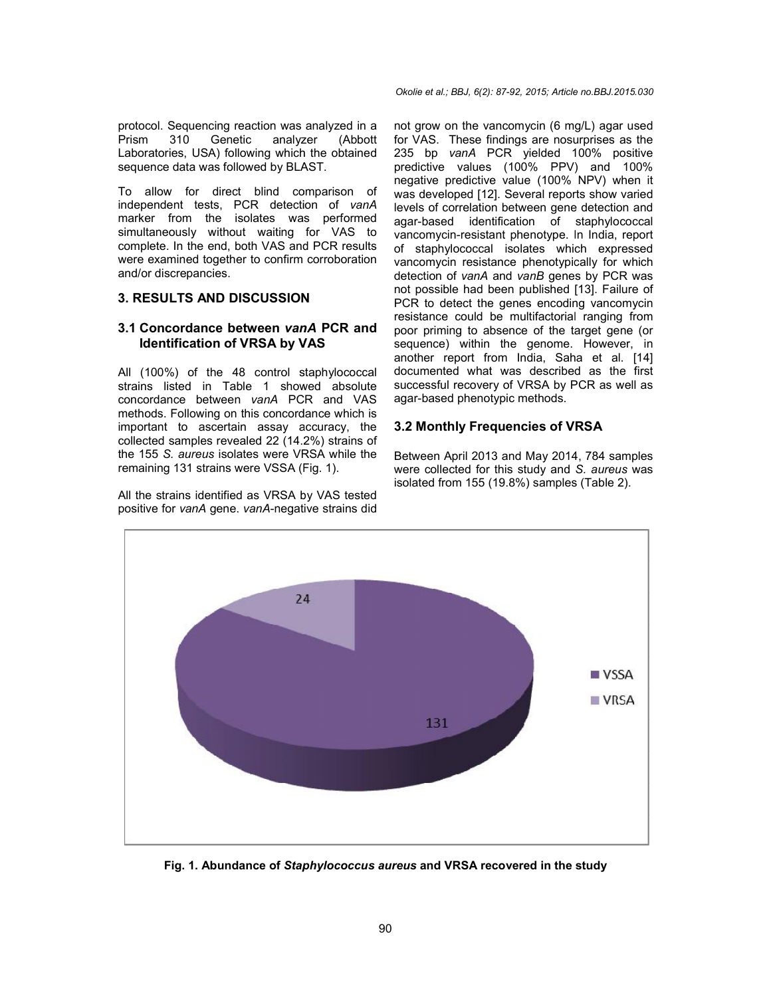protocol. Sequencing reaction was analyzed in a Prism 310 Genetic analyzer (Abbott Laboratories, USA) following which the obtained sequence data was followed by BLAST. I. Sequencing reaction was analyzed in<br>310 Genetic analyzer (Abboories, USA) following which the obtaine<br>ce data was followed by BLAST.<br>ow for direct blind comparison o

To allow for direct blind comparison of independent tests, PCR detection of *vanA* marker from the isolates was performed simultaneously without waiting for VAS to complete. In the end, both VAS and PCR results were examined together to confirm corroboration and/or discrepancies.

#### **3. RESULTS AND DISCUSSION**

#### **3.1 Concordance between** *vanA* **PCR and Identification of VRSA by VAS**

All (100%) of the 48 control staphylococcal strains listed in Table 1 showed absolute concordance between *vanA* PCR and VAS methods. Following on this concordance which is important to ascertain assay accuracy, the collected samples revealed 22 (14.2%) strains of the 155 *S. aureus* isolates were VRSA while the remaining 131 strains were VSSA (Fig. 1).

All the strains identified as VRSA by VAS tested positive for *vanA* gene. *vanA*-negative strains did

boom. Sequencing reaction was analyzed in a not grow on the vancomycin (6 mg/L) agar used tooms to spay and PCR yielded 100% per and PCR yielded for the botained and PCR yielded for the per and PCR yielded tooms and the me for VAS. These findings are nosurprises as the 235 bp *vanA* PCR yielded 100% positive predictive values (100% PPV) and 100% negative predictive value (100% NPV) when it was developed [12]. Several reports show varied levels of correlation between gene detection and agar-based identification of staphylococcal vancomycin-resistant phenotype. In India, report of staphylococcal isolates which expressed vancomycin resistance phenotypically for which detection of *vanA* and *vanB* genes not possible had been published [13]. Failure of PCR to detect the genes encoding vancomycin resistance could be multifactorial ranging from poor priming to absence of the target gene (or sequence) within the genome. However, in another report from India, Saha et al documented what was described as the first successful recovery of VRSA by PCR as well as agar-based phenotypic methods. documented what was described as the first<br>successful recovery of VRSA by PCR as well as<br>agar-based phenotypic methods.<br>**3.2 Monthly Frequencies of VRSA**<br>Between April 2013 and May 2014, 784 samples are nosurprises as the<br>elded 100% positive<br>% PPV) and 100%<br>(100% NPV) when it developed [12]. Several reports show varied<br>is of correlation between gene detection and<br>based identification of staphylococcal<br>pmycin-resistant phenotype. In India, report<br>taphylococcal isolates which expressed<br>pmycin res not possible had been published [13]. Failure of<br>PCR to detect the genes encoding vancomycin<br>resistance could be multifactorial ranging from<br>poor priming to absence of the target gene (or<br>sequence) within the genome. Howev

#### **3.2 Monthly Frequencies of VRSA**

were collected for this study and *S. aureus* was isolated from 155 (19.8%) samples (Table 2).



**Fig. 1. Abundance of** *Staphylococcus aureus* **and VRSA recovered in the study**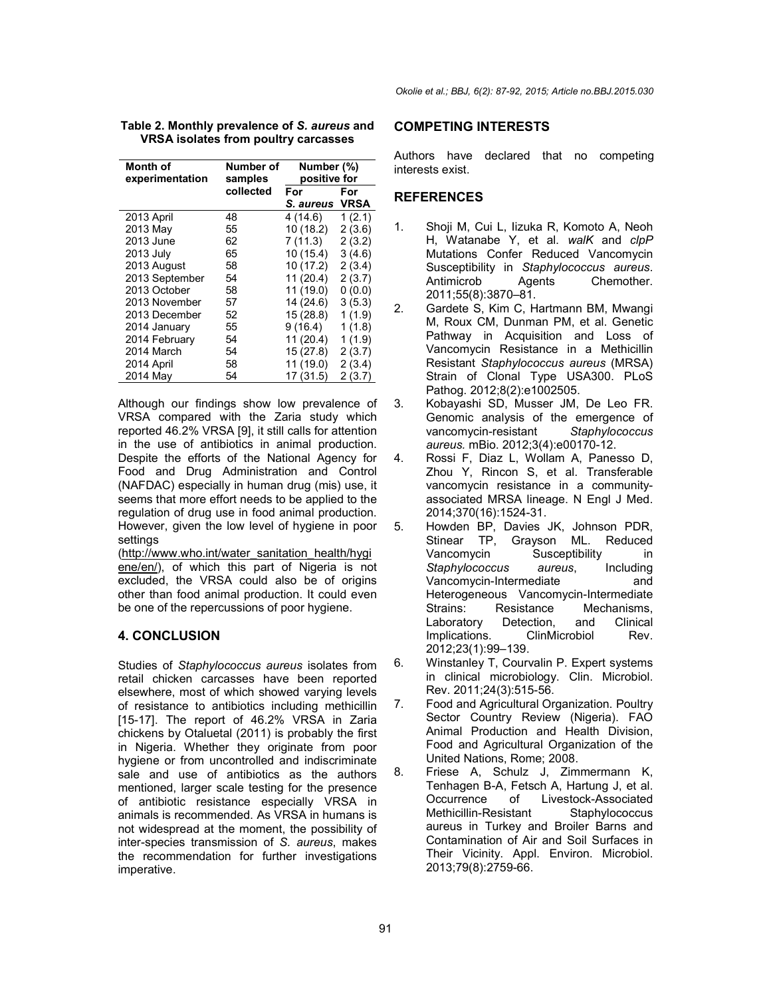| Month of<br>experimentation | Number of<br>samples | Number (%)<br>positive for |             |
|-----------------------------|----------------------|----------------------------|-------------|
|                             | collected            | For                        | For         |
|                             |                      | S. aureus                  | <b>VRSA</b> |
| 2013 April                  | 48                   | 4(14.6)                    | 1(2.1)      |
| 2013 May                    | 55                   | 10 (18.2)                  | 2(3.6)      |
| 2013 June                   | 62                   | 7(11.3)                    | 2(3.2)      |
| 2013 July                   | 65                   | 10(15.4)                   | 3(4.6)      |
| 2013 August                 | 58                   | 10 (17.2)                  | 2(3.4)      |
| 2013 September              | 54                   | 11 (20.4)                  | 2(3.7)      |
| 2013 October                | 58                   | 11 (19.0)                  | 0(0.0)      |
| 2013 November               | 57                   | 14 (24.6)                  | 3(5.3)      |
| 2013 December               | 52                   | 15 (28.8)                  | 1(1.9)      |
| 2014 January                | 55                   | 9(16.4)                    | 1(1.8)      |
| 2014 February               | 54                   | 11(20.4)                   | 1(1.9)      |
| 2014 March                  | 54                   | 15 (27.8)                  | 2(3.7)      |
| 2014 April                  | 58                   | 11 (19.0)                  | 2(3.4)      |
| 2014 May                    | 54                   | 17 (31.5)                  | 2(3.7)      |

| Table 2. Monthly prevalence of S. aureus and |  |
|----------------------------------------------|--|
| VRSA isolates from poultry carcasses         |  |

Although our findings show low prevalence of VRSA compared with the Zaria study which reported 46.2% VRSA [9], it still calls for attention in the use of antibiotics in animal production. Despite the efforts of the National Agency for Food and Drug Administration and Control (NAFDAC) especially in human drug (mis) use, it seems that more effort needs to be applied to the regulation of drug use in food animal production. However, given the low level of hygiene in poor settings

(http://www.who.int/water\_sanitation\_health/hygi ene/en/), of which this part of Nigeria is not excluded, the VRSA could also be of origins other than food animal production. It could even be one of the repercussions of poor hygiene.

#### **4. CONCLUSION**

Studies of *Staphylococcus aureus* isolates from retail chicken carcasses have been reported elsewhere, most of which showed varying levels of resistance to antibiotics including methicillin [15-17]. The report of 46.2% VRSA in Zaria chickens by Otaluetal (2011) is probably the first in Nigeria. Whether they originate from poor hygiene or from uncontrolled and indiscriminate sale and use of antibiotics as the authors mentioned, larger scale testing for the presence of antibiotic resistance especially VRSA in animals is recommended. As VRSA in humans is not widespread at the moment, the possibility of inter-species transmission of *S. aureus*, makes the recommendation for further investigations imperative.

#### **COMPETING INTERESTS**

Authors have declared that no competing interests exist.

#### **REFERENCES**

- 1. Shoji M, Cui L, Iizuka R, Komoto A, Neoh H, Watanabe Y, et al. *walK* and *clpP* Mutations Confer Reduced Vancomycin Susceptibility in *Staphylococcus aureus*. Antimicrob Agents Chemother. 2011;55(8):3870–81.
- 2. Gardete S, Kim C, Hartmann BM, Mwangi M, Roux CM, Dunman PM, et al. Genetic Pathway in Acquisition and Loss of Vancomycin Resistance in a Methicillin Resistant *Staphylococcus aureus* (MRSA) Strain of Clonal Type USA300. PLoS Pathog. 2012;8(2):e1002505.
- 3. Kobayashi SD, Musser JM, De Leo FR. Genomic analysis of the emergence of vancomycin-resistant *Staphylococcus aureus.* mBio. 2012;3(4):e00170-12.
- 4. Rossi F, Diaz L, Wollam A, Panesso D, Zhou Y, Rincon S, et al. Transferable vancomycin resistance in a communityassociated MRSA lineage. N Engl J Med. 2014;370(16):1524-31.
- 5. Howden BP, Davies JK, Johnson PDR, Stinear TP, Grayson ML. Reduced Vancomycin Susceptibility in *Staphylococcus aureus*, Including Vancomycin-Intermediate and Heterogeneous Vancomycin-Intermediate<br>Strains: Resistance Mechanisms. Strains: Resistance Mechanisms,<br>Laboratory Detection. and Clinical Laboratory Detection, and Implications. ClinMicrobiol Rev. 2012;23(1):99–139.
- 6. Winstanley T, Courvalin P. Expert systems in clinical microbiology. Clin. Microbiol. Rev. 2011;24(3):515-56.
- 7. Food and Agricultural Organization. Poultry Sector Country Review (Nigeria). FAO Animal Production and Health Division, Food and Agricultural Organization of the United Nations, Rome; 2008.
- 8. Friese A, Schulz J, Zimmermann K, Tenhagen B-A, Fetsch A, Hartung J, et al. of Livestock-Associated Methicillin-Resistant Staphylococcus aureus in Turkey and Broiler Barns and Contamination of Air and Soil Surfaces in Their Vicinity. Appl. Environ. Microbiol. 2013;79(8):2759-66.